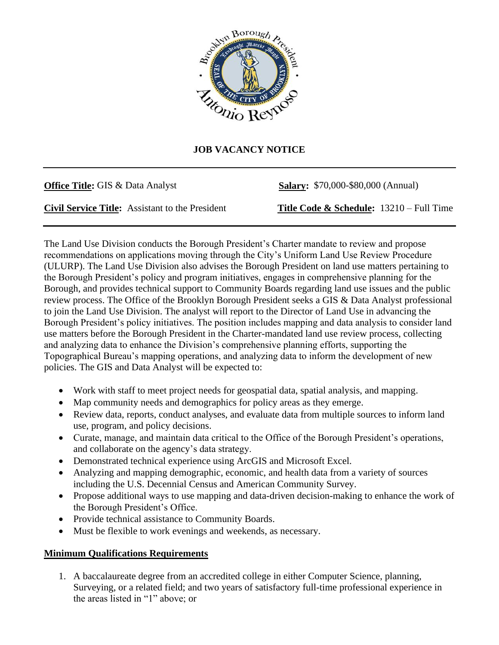

## **JOB VACANCY NOTICE**

**Office Title:** GIS & Data Analyst **Salary:** \$70,000-\$80,000 (Annual)

**Civil Service Title:** Assistant to the President **Title Code & Schedule:** 13210 – Full Time

The Land Use Division conducts the Borough President's Charter mandate to review and propose recommendations on applications moving through the City's Uniform Land Use Review Procedure (ULURP). The Land Use Division also advises the Borough President on land use matters pertaining to the Borough President's policy and program initiatives, engages in comprehensive planning for the Borough, and provides technical support to Community Boards regarding land use issues and the public review process. The Office of the Brooklyn Borough President seeks a GIS & Data Analyst professional to join the Land Use Division. The analyst will report to the Director of Land Use in advancing the Borough President's policy initiatives. The position includes mapping and data analysis to consider land use matters before the Borough President in the Charter-mandated land use review process, collecting and analyzing data to enhance the Division's comprehensive planning efforts, supporting the Topographical Bureau's mapping operations, and analyzing data to inform the development of new policies. The GIS and Data Analyst will be expected to:

- Work with staff to meet project needs for geospatial data, spatial analysis, and mapping.
- Map community needs and demographics for policy areas as they emerge.
- Review data, reports, conduct analyses, and evaluate data from multiple sources to inform land use, program, and policy decisions.
- Curate, manage, and maintain data critical to the Office of the Borough President's operations, and collaborate on the agency's data strategy.
- Demonstrated technical experience using ArcGIS and Microsoft Excel.
- Analyzing and mapping demographic, economic, and health data from a variety of sources including the U.S. Decennial Census and American Community Survey.
- Propose additional ways to use mapping and data-driven decision-making to enhance the work of the Borough President's Office.
- Provide technical assistance to Community Boards.
- Must be flexible to work evenings and weekends, as necessary.

## **Minimum Qualifications Requirements**

1. A baccalaureate degree from an accredited college in either Computer Science, planning, Surveying, or a related field; and two years of satisfactory full-time professional experience in the areas listed in "1" above; or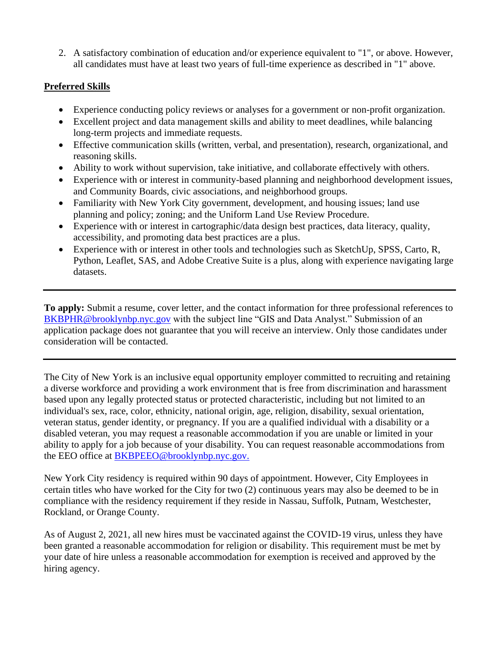2. A satisfactory combination of education and/or experience equivalent to "1", or above. However, all candidates must have at least two years of full-time experience as described in "1" above.

## **Preferred Skills**

- Experience conducting policy reviews or analyses for a government or non-profit organization.
- Excellent project and data management skills and ability to meet deadlines, while balancing long-term projects and immediate requests.
- Effective communication skills (written, verbal, and presentation), research, organizational, and reasoning skills.
- Ability to work without supervision, take initiative, and collaborate effectively with others.
- Experience with or interest in community-based planning and neighborhood development issues, and Community Boards, civic associations, and neighborhood groups.
- Familiarity with New York City government, development, and housing issues; land use planning and policy; zoning; and the Uniform Land Use Review Procedure.
- Experience with or interest in cartographic/data design best practices, data literacy, quality, accessibility, and promoting data best practices are a plus.
- Experience with or interest in other tools and technologies such as SketchUp, SPSS, Carto, R, Python, Leaflet, SAS, and Adobe Creative Suite is a plus, along with experience navigating large datasets.

**To apply:** Submit a resume, cover letter, and the contact information for three professional references to [BKBPHR@brooklynbp.nyc.gov](mailto:HR@brooklynbp.nyc.gov) with the subject line "GIS and Data Analyst." Submission of an application package does not guarantee that you will receive an interview. Only those candidates under consideration will be contacted.

The City of New York is an inclusive equal opportunity employer committed to recruiting and retaining a diverse workforce and providing a work environment that is free from discrimination and harassment based upon any legally protected status or protected characteristic, including but not limited to an individual's sex, race, color, ethnicity, national origin, age, religion, disability, sexual orientation, veteran status, gender identity, or pregnancy. If you are a qualified individual with a disability or a disabled veteran, you may request a reasonable accommodation if you are unable or limited in your ability to apply for a job because of your disability. You can request reasonable accommodations from the EEO office at [BKBPEEO@brooklynbp.nyc.gov.](mailto:EEO@brooklynbp.nyc.gov.)

New York City residency is required within 90 days of appointment. However, City Employees in certain titles who have worked for the City for two (2) continuous years may also be deemed to be in compliance with the residency requirement if they reside in Nassau, Suffolk, Putnam, Westchester, Rockland, or Orange County.

As of August 2, 2021, all new hires must be vaccinated against the COVID-19 virus, unless they have been granted a reasonable accommodation for religion or disability. This requirement must be met by your date of hire unless a reasonable accommodation for exemption is received and approved by the hiring agency.